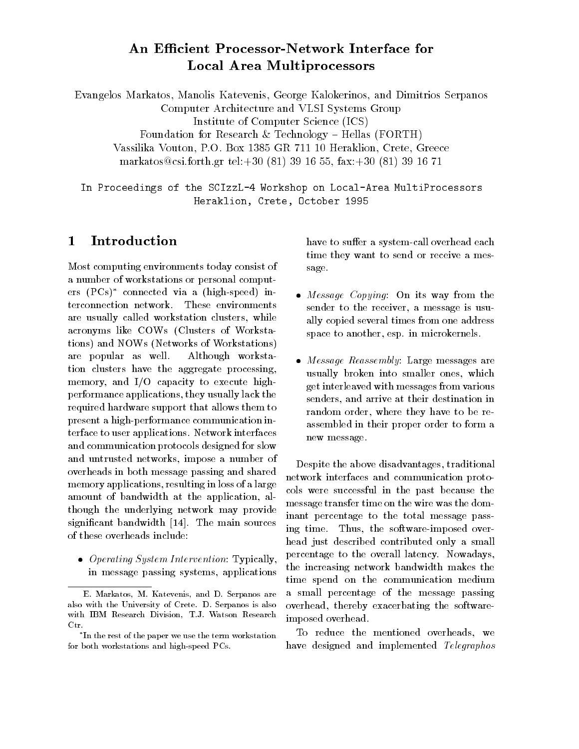# Local Area Multiprocessors

Evangelos Markatos Manolis Katevenis George Kalokerinos and Dimitrios Serpanos Computer Architecture and VLSI Systems Group

Institute of Computer Science (ICS)

Foundation for Research & Technology  $-$  Hellas (FORTH)

vassion vastas politika vastas vastas vastas vastas vastas politika vastas vastas vastas vastas vastas vastas

markatoscsiforthgr tel
 - fax
 -

In Proceedings of the SCIzzL-4 Workshop on Local-Area MultiProcessors Heraklion- Crete- October

# $\mathbf{1}$

Most computing environments today consist of a number of workstations or personal comput ers (FCs) connected via a (mign-speed) interconnection network. These environments are usually called workstation clusters, while acronyms like COWs Clusters of Worksta tions- and NOWS Networks of NOWS Networks of NOWS Networks of NOWS Networks of NOWS Networks of No. 1971 are popular as well Although worksta tion clusters have the aggregate processing memory, and  $I/O$  capacity to execute highperformance applications they usually lack the required hardware support that allows them to present a high-performance communication interface to user applications. Network interfaces and communication protocols designed for slow and untrusted networks impose a number of overheads in both message passing and shared memory applications, resulting in loss of a large amount of bandwidth at the application, although the underlying network may provide significant bandwidth  $\mathbf{r}$  is a source source sources of the main sources of the main sources of the main sources of the main sources of the main sources of the main sources of the main sources of the main sources of t of these overheads include

Operating system Intervention Typically in message passing systems, applications

have to suffer a system-call overhead each time they want to send or receive a mes sage

- message Copying Companies and the property of the companies of  $\mathbb{R}^n$ sender to the receiver, a message is usually copied several times from one address space to another, esp. in microkernels.
- Message Reassembly Large messages are usually broken into smaller ones, which get interleaved with messages from various senders, and arrive at their destination in random order, where they have to be reassembled in their proper order to form a new message

Despite the above disadvantages, traditional network interfaces and communication proto cols were successful in the past because the message transfer time on the wire was the dom inant percentage to the total message pass ing time. Thus, the software-imposed overhead just described contributed only a small percentage to the overall latency. Nowadays, the increasing network bandwidth makes the time spend on the communication medium a small percentage of the message passing overhead, thereby exacerbating the softwareimposed overhead

To  $\mathop{\rm reduce}\nolimits$  the mentioned overheads, we have designed and implemented Telegraphos

E. Markatos, M. Katevenis, and D. Serpanos are also with the University of Crete. D. Serpanos is also with IBM Research Division, T.J. Watson Research

 $*$ In the rest of the paper we use the term workstation for both workstations and high-speed PCs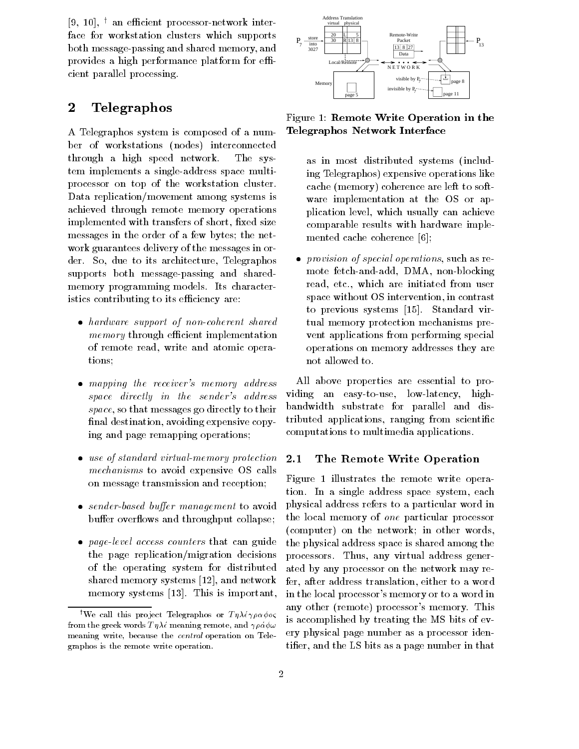p, iof, an emclent processor-network interface for workstation clusters which supports both message-passing and shared memory, and provides a high performance platform for e cient parallel processing

# 2 Telegraphos

A Telegraphos system is composed of a num ber of workstations nodes- interconnected through a high speed network The sys tem implements a single-address space multiprocessor on top of the workstation cluster Data replication/movement among systems is achieved through remote memory operations implemented with transfers of short, fixed size messages in the order of a few bytes; the network guarantees delivery of the messages in or der. So, due to its architecture, Telegraphos supports both message-passing and sharedmemory programming models. Its characteristics contributing to its efficiency are:

- hardware support of noncoherent shared memory through efficient implementation of remote read, write and atomic operations
- mapping the receivers memory address  $space \; directly \; in \; the \; sender's \; address$ space, so that messages go directly to their final destination, avoiding expensive copying and page remapping operations
- use of standard virtualmemory protections and mechanisms to avoid expensive OS calls on message transmission and reception
- er management to avoid the management to avoid the control of the control of the control of the control of the buffer overflows and throughput collapse;
- pageles counters counters that can guide u the page replication/migration decisions of the operating system for distributed shared memory systems (sey) which has started to memory systems in the contract of the contract of the contract of the contract of the contract of the contract of the contract of the contract of the contract of the contract of the contract of the contract of the contract



Figure 1: Remote Write Operation in the Telegraphos Network Interface

as in most distributed systems (including Telegraphos- expensive operations like cache memory-memory-memory-memory-memory-memory-memory-memory-memory-memory-memory-memory-memory-memory-memory ware implementation at the OS or ap plication level, which usually can achieve comparable results with hardware imple mented cache coherence coherence coherence coherence coherence coherence coherence coherence coherence coheren

 provision of special operations such as re mote fetch-and-add, DMA, non-blocking read, etc., which are initiated from user space without OS intervention, in contrast to previous systems Standard vir tual memory protection mechanisms pre vent applications from performing special operations on memory addresses they are not allowed to

All above properties are essential to pro viding an easy-to-use, low-latency, highbandwidth substrate for parallel and dis tributed applications, ranging from scientific computations to multimedia applications

# The Remote Write Operation

Figure 1 illustrates the remote write operation. In a single address space system, each physical address refers to a particular word in the local memory of one particular processor computer- on the network in our computer words in our computer words in our computer words in our computations the physical address space is shared among the processors. Thus, any virtual address generated by any processor on the network may re fer, after address translation, either to a word in the local processor's memory or to a word in any other remotes any other remotes memory This control is a set of the control of the control of the control o is accomplished by treating the MS bits of ev ery physical page number as a processor iden tifier, and the LS bits as a page number in that

We call this project lelegraphos or  $I \eta \lambda \epsilon \gamma \rho \alpha \varphi o \varsigma$  $\frac{1}{2}$  and greek words  $\frac{1}{2}$  -  $\frac{1}{2}$  . Including remote and  $\frac{1}{2}$  pays meaning write, because the *central* operation on Telegraphos is the remote write operation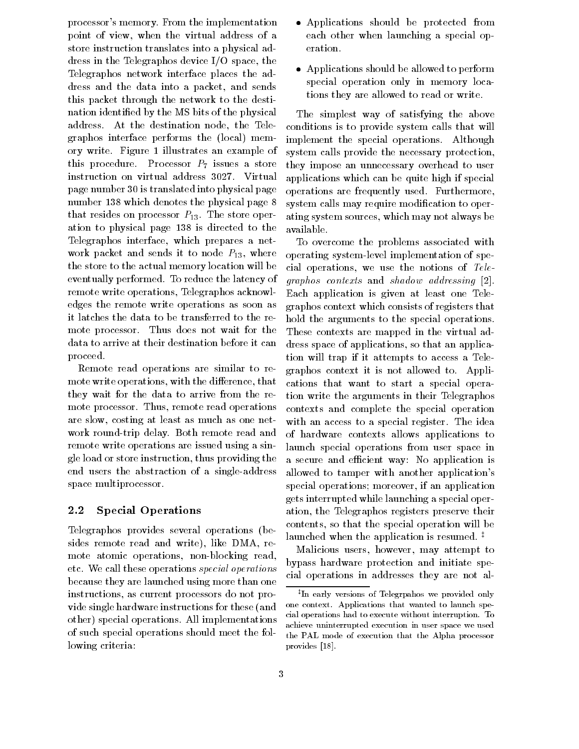processor's memory. From the implementation point of view, when the virtual address of a store instruction translates into a physical ad dress in the Telegraphos device  $I/O$  space, the Telegraphos network interface places the ad dress and the data into a packet, and sends this packet through the network to the desti nation identified by the MS bits of the physical address. At the destination node, the Telegraphos interface performs the local- mem ory write. Figure 1 illustrates an example of this procedure. Processor  $P_7$  issues a store instruction on virtual address 3027. Virtual page number 30 is translated into physical page number 138 which denotes the physical page 8 that resides on processor P- () = massessor P- P- Pation to physical page 138 is directed to the Telegraphos interface, which prepares a netwhere packets and sends it to not be - - , , , , , , , , , , , the store to the actual memory location will be eventually performed. To reduce the latency of remote write operations, Telegraphos acknowledges the remote write operations as soon as it latches the data to be transferred to the re mote processor. Thus does not wait for the data to arrive at their destination before it can proceed

Remote read operations are similar to re mote write operations, with the difference, that they wait for the data to arrive from the re mote processor. Thus, remote read operations are slow, costing at least as much as one network round-trip delay. Both remote read and remote write operations are issued using a sin gle load or store instruction thus providing the end users the abstraction of a single-address space multiprocessor

# 2.2 Special Operations

Telegraphos provides several operations (besides remote read and write- it is a property of the DMA read and the DMA read and the DMA read and the DMA re mote atomic operations, non-blocking read, etc We call these operations special operations because they are launched using more than one instructions as current processors do not pro vide single hardware instructions for these (and other-, approximations and increased all inprovements in the special contract of  $\mathcal{S}$ of such special operations should meet the fol lowing criteria:

- Applications should be protected from each other when launching a special op eration
- Application should be allowed to perform the performance of the second to perform the second to perform the second to perform the second to perform the second to perform the second to perform the second to perform the seco special operation only in memory loca tions they are allowed to read or write

The simplest way of satisfying the above conditions is to provide system calls that will implement the special operations. Although system calls provide the necessary protection they impose an unnecessary overhead to user applications which can be quite high if special operations are frequently used. Furthermore, system calls may require modification to operating system sources which may not always be available

To overcome the problems associated with operating systemlevel implementation of spe cial operations, we use the notions of Telegraphos contexts and shadow addressing popular Each application is given at least one Tele graphos context which consists of registers that hold the arguments to the special operations These contexts are mapped in the virtual ad dress space of applications so that an applica tion will trap if it attempts to access a Tele graphos context it is not allowed to Appli cations that want to start a special opera tion write the arguments in their Telegraphos contexts and complete the special operation with an access to a special register. The idea of hardware contexts allows applications to launch special operations from user space in a secure and efficient way: No application is allowed to tamper with another application's special operations; moreover, if an application gets interrupted while launching a special oper ation, the Telegraphos registers preserve their contents, so that the special operation will be launched when the application is resumed.<sup>†</sup>

Malicious users, however, may attempt to bypass hardware protection and initiate spe cial operations in addresses they are not al

<sup>&#</sup>x27;In early versions of lelegrpahos we provided only one context. Applications that wanted to launch special operations had to execute without interruption To achieve uninterrupted execution in user space we used the PAL mode of execution that the Alpha processor provides [18].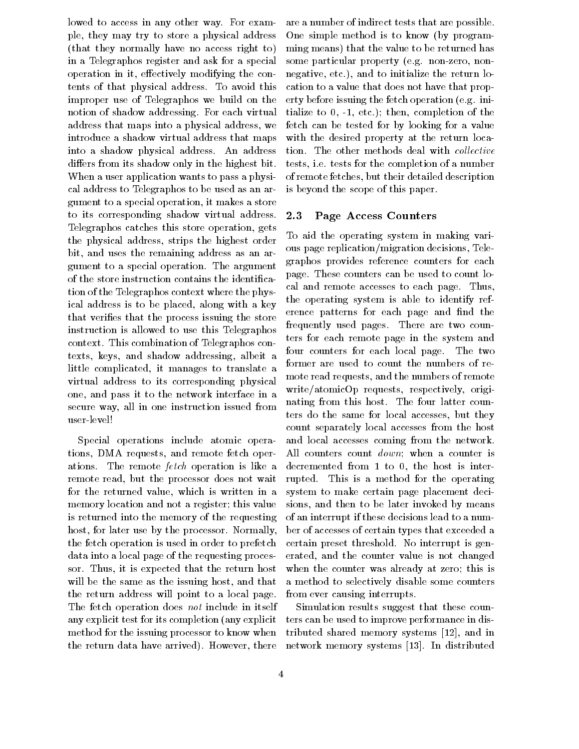lowed to access in any other way. For example, they may try to store a physical address (that they normally have no access right to) in a Telegraphos register and ask for a special operation in it, effectively modifying the contents of that physical address. To avoid this improper use of Telegraphos we build on the notion of shadow addressing. For each virtual address that maps into a physical address, we introduce a shadow virtual address that maps into a shadow physical address An address differs from its shadow only in the highest bit. When a user application wants to pass a physical address to Telegraphos to be used as an ar gument to a special operation it makes a store to its corresponding shadow virtual address. 2.3 Telegraphos catches this store operation, gets the physical address, strips the highest order bit, and uses the remaining address as an argument to a special operation. The argument of the store instruction contains the identification of the Telegraphos context where the phys ical address is to be placed, along with a key that verifies that the process issuing the store instruction is allowed to use this Telegraphos context. This combination of Telegraphos contexts, keys, and shadow addressing, albeit a little complicated, it manages to translate a virtual address to its corresponding physical one, and pass it to the network interface in a secure way, all in one instruction issued from user-level!

Special operations include atomic opera tions, DMA requests, and remote fetch operations. The remote *fetch* operation is like a remote read, but the processor does not wait for the returned value, which is written in a memory location and not a register; this value is returned into the memory of the requesting host, for later use by the processor. Normally, the fetch operation is used in order to prefetch data into a local page of the requesting proces sor. Thus, it is expected that the return host will be the same as the issuing host, and that the return address will point to a local page The fetch operation does not include in itself any explicit test for its completion (any explicit method for the issuing processor to know when the return data have arrived- However there

 ming means- that the value to be returned has are a number of indirect tests that are possible One simple method is to know (by programsome particular property (e.g. non-zero, nonnegative etc. It is and the return local to initially and the return local distribution of the return local dis cation to a value that does not have that prop erty before issuing the fetch operation (e.g. initialize to the completion of the completion of the completion of the completion of the completion of the completion of the completion of the completion of the completion of the completion of the completion of the completio fetch can be tested for by looking for a value with the desired property at the return location. The other methods deal with collective tests, i.e. tests for the completion of a number of remote fetches, but their detailed description is beyond the scope of this paper

# Page Access Counters

To aid the operating system in making vari ous page replication/migration decisions, Telegraphos provides reference counters for each page. These counters can be used to count local and remote accesses to each page. Thus, the operating system is able to identify ref erence patterns for each page and find the frequently used pages. There are two counters for each remote page in the system and four counters for each local page. The two former are used to count the numbers of re mote read requests and the numbers of remote  $write/atomicOp$  requests, respectively, originating from this host. The four latter counters do the same for local accesses, but they count separately local accesses from the host and local accesses coming from the network All counters count  $down$ ; when a counter is decremented from 1 to 0, the host is interrupted. This is a method for the operating system to make certain page placement deci sions, and then to be later invoked by means of an interrupt if these decisions lead to a num ber of accesses of certain types that exceeded a certain preset threshold. No interrupt is generated, and the counter value is not changed when the counter was already at zero; this is a method to selectively disable some counters from ever causing interrupts

Simulation results suggest that these coun ters can be used to improve performance in dis tributed shared shared memory systems in the system of the system of the system of the system of the system of network memory systems in distributed with the system of the system of the system of the system of the system o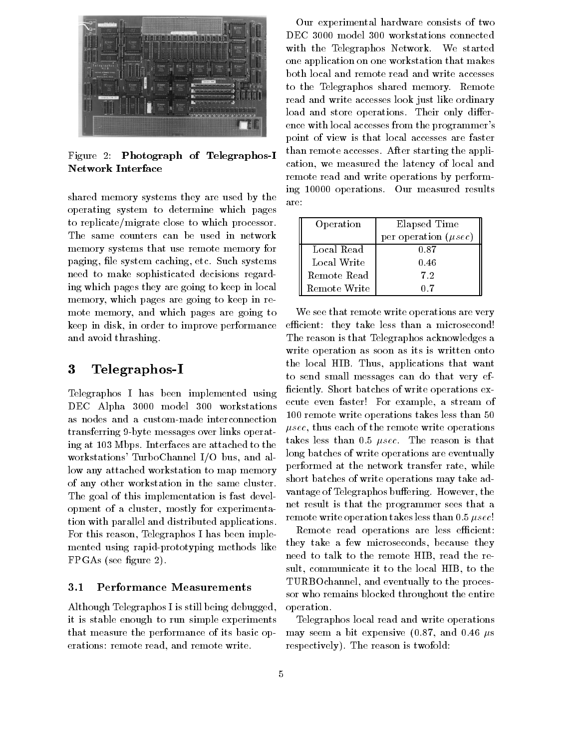

Figure 2: Photograph of Telegraphos-I Network Interface

shared memory systems they are used by the  $\frac{1}{2}$ operating system to determine which pages to replicate/migrate close to which processor. The same counters can be used in network memory systems that use remote memory for paging, file system caching, etc. Such systems need to make sophisticated decisions regard ing which pages they are going to keep in local memory, which pages are going to keep in remote memory, and which pages are going to keep in disk in order to improve performance and avoid thrashing

### $\bf{3}$ Telegraphos-I

Telegraphos I has been implemented using DEC Alpha 3000 model 300 workstations as nodes and a custom-made interconnection transferring 
byte messages over links operat ing at 103 Mbps. Interfaces are attached to the workstations' TurboChannel I/O bus, and allow any attached workstation to map memory of any other workstation in the same cluster The goal of this implementation is fast devel opment of a cluster, mostly for experimentation with parallel and distributed applications For this reason, Telegraphos I has been implemented using rapid-prototyping methods like FPGAs see gure -

### 3.1 Performance Measurements

Although Telegraphos I is still being debugged it is stable enough to run simple experiments that measure the performance of its basic op erations: remote read, and remote write.

Our experimental hardware consists of two DEC 3000 model 300 workstations connected with the Telegraphos Network. We started one application on one workstation that makes both local and remote read and write accesses to the Telegraphos shared memory Remote read and write accesses look just like ordinary load and store operations. Their only difference with local accesses from the programmer's point of view is that local accesses are faster than remote accesses After starting the appli cation, we measured the latency of local and remote read and write operations by perform ing 10000 operations. Our measured results

| Operation    | Elapsed Time                     |  |  |
|--------------|----------------------------------|--|--|
|              | per operation $(\mu \text{sec})$ |  |  |
| Local Read   | 0.87                             |  |  |
| Local Write  | 0.46                             |  |  |
| Remote Read  | 72                               |  |  |
| Remote Write | O 7                              |  |  |

We see that remote write operations are very efficient: they take less than a microsecond! The reason is that Telegraphos acknowledges a write operation as soon as its is written onto the local HIB. Thus, applications that want to send small messages can do that very ef ficiently. Short batches of write operations execute even faster! For example, a stream of  $100$  remote write operations takes less than  $50$  $\mu sec$ , thus each of the remote write operations takes less than 0.5  $\mu sec$ . The reason is that long batches of write operations are eventually performed at the network transfer rate, while short batches of write operations may take ad vantage of Telegraphos buffering. However, the net result is that the programmer sees that a remote write operation takes less than  $0.5$   $\mu sec!$ 

Remote read operations are less efficient: they take a few microseconds, because they need to talk to the remote HIB, read the result, communicate it to the local HIB, to the TURBOchannel, and eventually to the processor who remains blocked throughout the entire operation

Telegraphos local read and write operations may seem a bit expensive  $(0.87, \text{ and } 0.46 \mu s)$ respectively-between the reason is two first constructions of the reason is two first constructions of the reason of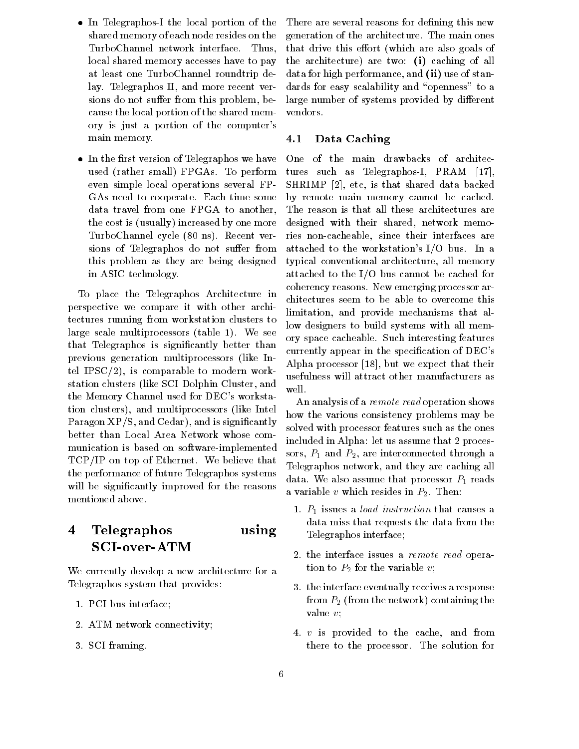- In TelegraphosI the local portion of the shared memory of each node resides on the TurboChannel network interface. Thus, local shared memory accesses have to pay at least one TurboChannel roundtrip de lay. Telegraphos II, and more recent versions do not suffer from this problem, because the local portion of the shared mem ory is just a portion of the computer's main memory
- In the rst version of Telegraphos we have <u>rather performance</u>, and shown and performance in the set even simple local operations several FP GAs need to cooperate. Each time some data travel from one FPGA to another the cost is usually- increased by one more Turbochannel cycle in the cycle in the cycle in the cycle in the cycle in the cycle in the cycle in the cycle in the cycle in the cycle in the cycle in the cycle in the cycle in the cycle in the cycle in the cycle in the c sions of Telegraphos do not suffer from this problem as they are being designed in ASIC technology

To place the Telegraphos Architecture in perspective we compare it with other archi tectures running from workstation clusters to large scale multiprocessors table - We see that Telegraphos is significantly better than previous generation multiprocessors (like Inthe is comparable to modern work and the comparable to modern work and the comparable of the comparable of the station clusters (like SCI Dolphin Cluster, and the Memory Channel used for DEC's workstation clusters in the multiprocessors like Intelligencers and the like Intelligencers and the like Intelligence Paragon XPS and Cedar- and is signicantly better than Local Area Network whose com munication is based on software-implemented TCP/IP on top of Ethernet. We believe that the performance of future Telegraphos systems will be significantly improved for the reasons mentioned above

# Telegraphos using SCI-over-ATM

We currently develop a new architecture for a Telegraphos system that provides

- 1. PCI bus interface;
- 2. ATM network connectivity:
- 3. SCI framing.

There are several reasons for defining this new generation of the architecture. The main ones that drive this effort (which are also goals of  $\sum_{i=1}^n$  are two integrating of all  $\sum_{i=1}^n$  $\alpha$  and  $\alpha$  is the formal interesting and if  $\alpha$  is the standard interesting and interesting  $\alpha$ dards for easy scalability and "openness" to a large number of systems provided by different

#### 4.1 Data Caching

One of the main drawbacks of architec tures such as Telegraphos Processes and Telegraphos Shrimp in the shared data backed the shared data backed shared data backed backed backed backed backed backed by remote main memory cannot be cached The reason is that all these architectures are designed with their shared, network memories non-cacheable, since their interfaces are attached to the workstation's I/O bus. In a typical conventional architecture, all memory attached to the I/O bus cannot be cached for coherency reasons. New emerging processor architectures seem to be able to overcome this limitation, and provide mechanisms that allow designers to build systems with all mem ory space cacheable. Such interesting features currently appear in the specification of DEC's Alpha processor but we expect that their usefulness will attract other manufacturers as well

An analysis of a remote read operation shows how the various consistency problems may be solved with processor features such as the ones included in Alpha: let us assume that 2 processors,  $P_1$  and  $P_2$ , are interconnected through a Telegraphos network, and they are caching all data. We also assume that processor  $P_1$  reads a variable  $v$  which resides in  $P_2$ . Then:

- 1.  $P_1$  issues a *load instruction* that causes a data miss that requests the data from the Telegraphos interface
- 2. the interface issues a *remote read* operation to  $P_2$  for the variable v;
- 3. the interface eventually receives a response from P  $\Delta$  , the network-the network-the network-the networking the network value  $v$ ;
- 4.  $v$  is provided to the cache, and from there to the processor. The solution for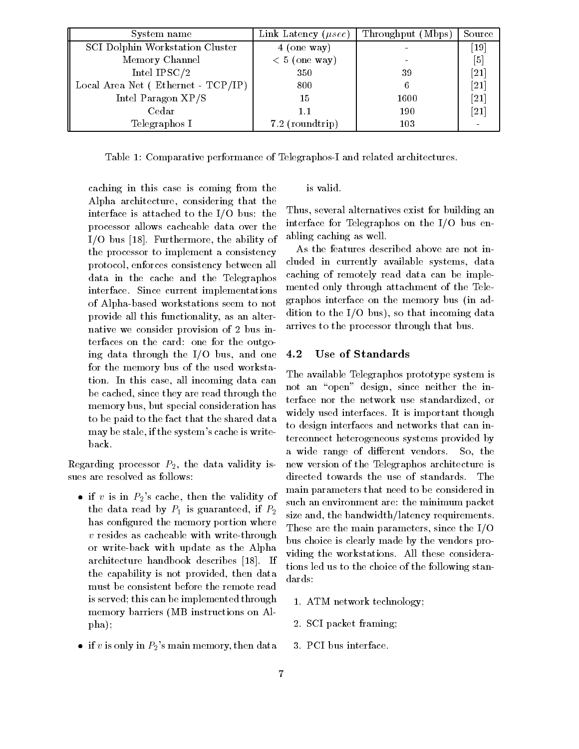| System name                          | Link Latency $(\mu sec)$ | Throughput (Mbps) | Source             |
|--------------------------------------|--------------------------|-------------------|--------------------|
| SCI Dolphin Workstation Cluster      | $4$ (one way)            |                   | $\lceil 19 \rceil$ |
| Memory Channel                       | $< 5$ (one way)          |                   | $\lceil 5 \rceil$  |
| Intel $IPSC/2$                       | 350                      | 39                | $\left[ 21\right]$ |
| Local Area Net (Ethernet - $TCP/IP)$ | 800                      |                   | $\left[ 21\right]$ |
| Intel Paragon $XP/S$                 | 15                       | 1600              | $\left[ 21\right]$ |
| Cedar                                | 1.1                      | 190               | $\left[ 21\right]$ |
| Telegraphos I                        | 7.2 (roundtrip)          | 103               |                    |

Table 1: Comparative performance of Telegraphos-I and related architectures.

caching in this case is coming from the Alpha architecture, considering that the interface is attached to the  $I/O$  bus: the processor allows cacheable data over the IO bus Furthermore the ability of the processor to implement a consistency protocol, enforces consistency between all data in the cache and the Telegraphos interface. Since current implementations of Alpha-based workstations seem to not provide all this functionality, as an alternative we consider provision of 2 bus interfaces on the card: one for the outgoing data through the  $I/O$  bus, and one  $4.2$ for the memory bus of the used worksta tion. In this case, all incoming data can be cached, since they are read through the memory bus, but special consideration has to be paid to the fact that the shared data may be stale, if the system's cache is writeback.

Regarding processor  $P_2$ , the data validity issues are resolved as follows

- if is in Ps cached the value of the valid the valid the valid term of the valid term of the valid term of the the data read by  $P_1$  is guaranteed, if  $P_2$ has configured the memory portion where  $v$  resides as cacheable with write-through or write-back with update as the Alpha architecture in the first description of the control of the control of the control of the control of the control of the control of the control of the control of the control of the control of the control of the control of t the capability is not provided, then data must be consistent before the remote read is served; this can be implemented through memory barriers (MB instructions on Alpha-
- if is only in Ps main memory then dependent of the second contract of the second contract of the second contract of  $\Delta$

### is valid

Thus, several alternatives exist for building an interface for Telegraphos on the  $I/O$  bus enabling caching as well

As the features described above are not in cluded in currently available systems, data caching of remotely read data can be imple mented only through attachment of the Tele graphos interface on the memory bus (in addition to the IO bus-incomediate data income and the IO busarrives to the processor through that bus

## Use of Standards

The available Telegraphos prototype system is not an "open" design, since neither the interface nor the network use standardized, or widely used interfaces. It is important though to design interfaces and networks that can in terconnect heterogeneous systems provided by a wide range of different vendors. So, the new version of the Telegraphos architecture is directed towards the use of standards. The main parameters that need to be considered in  $\text{such an environment are: the minimum packet}$ size and, the bandwidth/latency requirements. These are the main parameters, since the  $I/O$ bus choice is clearly made by the vendors pro viding the workstations. All these considerations led us to the choice of the following stan  $_{\mathrm{dards:}}$ 

- 1. ATM network technology;
- 2. SCI packet framing:
- 3. PCI bus interface.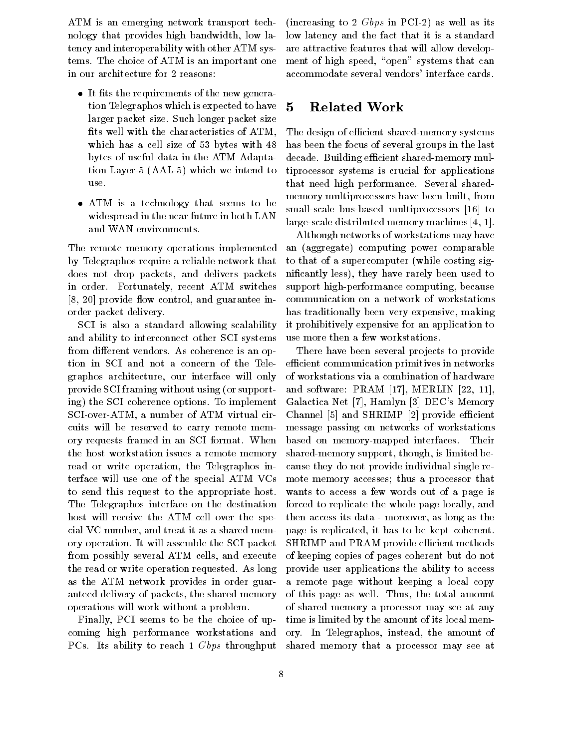ATM is an emerging network transport tech nology that provides high bandwidth, low latency and interoperability with other ATM sys tems. The choice of ATM is an important one in our architecture for 2 reasons:

- It ts the requirements of the new genera tion Telegraphos which is expected to have 5 larger packet size. Such longer packet size fits well with the characteristics of ATM, which has a cell size of 53 bytes with 48 bytes of useful data in the ATM Adapta tion Layer AAL- which we intend to use
- $\mathbf{A}$  is a technology that seems to be widespread in the near future in both LAN and WAN environments

The remote memory operations implemented by Telegraphos require a reliable network that does not drop packets, and delivers packets in order. Fortunately, recent ATM switches provide ow control and guarantee in order packet delivery

SCI is also a standard allowing scalability and ability to interconnect other SCI systems from different vendors. As coherence is an option in SCI and not a concern of the Tele graphos architecture, our interface will only provide SCI framing without using (or supporting- the SCI coherence options To implement SCI-over-ATM, a number of ATM virtual circuits will be reserved to carry remote mem ory requests framed in an SCI format. When the host workstation issues a remote memory read or write operation, the Telegraphos interface will use one of the special ATM VCs to send this request to the appropriate host The Telegraphos interface on the destination host will receive the ATM cell over the spe cial VC number, and treat it as a shared memory operation It will assemble the SCI packet from possibly several ATM cells, and execute the read or write operation requested. As long as the ATM network provides in order guar anteed delivery of packets, the shared memory operations will work without a problem

Finally, PCI seems to be the choice of upcoming high performance workstations and PCs. Its ability to reach  $1 \; Gbps$  throughput

 $\mathbf{y}$  as a substantial as well as  $\mathbf{y}$  is the position of  $\mathbf{y}$  as a substantial as  $\mathbf{y}$ low latency and the fact that it is a standard are attractive features that will allow develop ment of high speed, "open" systems that can accommodate several vendors' interface cards.

# Related Work

The design of efficient shared-memory systems has been the focus of several groups in the last decade. Building efficient shared-memory multiprocessor systems is crucial for applications that need high performance. Several sharedmemory multiprocessors have been built, from smallscale busbased multiprocessors to largescale distributed memory machines 

Although networks of workstations may have and a computer computing power comparable components of the comparable components of the comparable components to that of a supercomputer (while costing signicantly less-controller less-controller less-controller less-controller less-controller less-controller lesssupport high-performance computing, because communication on a network of workstations has traditionally been very expensive, making it prohibitively expensive for an application to use more then a few workstations

There have been several projects to provide efficient communication primitives in networks of workstations via a combination of hardware and software Progress (Pr) and the program (PP) for  $\mathcal{M}$ Galactica Net Hamlyn DECs Memory Channel and SHRIMP provide ecient message passing on networks of workstations based on memory-mapped interfaces. Their shared-memory support, though, is limited because they do not provide individual single re mote memory accesses; thus a processor that wants to access a few words out of a page is forced to replicate the whole page locally, and then access its data moreover as long as the page is replicated, it has to be kept coherent. SHRIMP and PRAM provide efficient methods of keeping copies of pages coherent but do not provide user applications the ability to access a remote page without keeping a local copy of this page as well. Thus, the total amount of shared memory a processor may see at any time is limited by the amount of its local mem ory. In Telegraphos, instead, the amount of shared memory that a processor may see at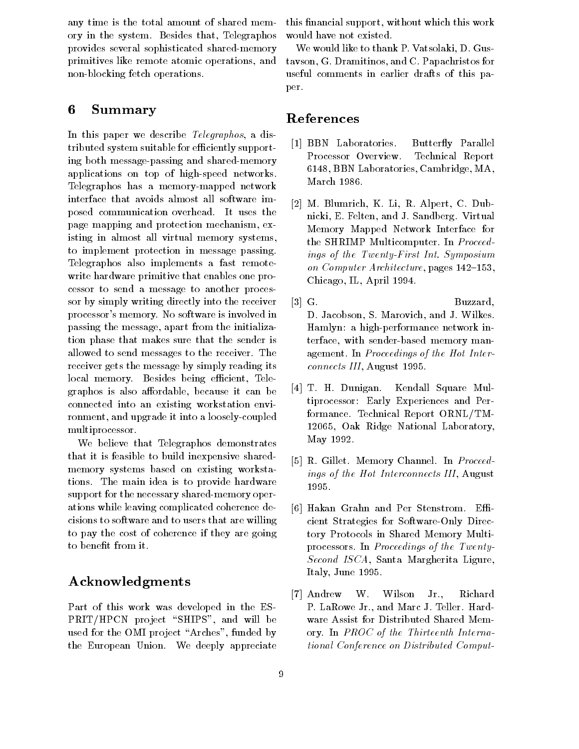any time is the total amount of shared mem ory in the system. Besides that, Telegraphos provides several sophisticated shared-memory primitives like remote atomic operations, and non blocking fetch operations.

# 6 Summary

In this paper we describe Telegraphos, a distributed system suitable for efficiently supporting both message-passing and shared-memory applications on top of high-speed networks. Telegraphos has a memorymapped network interface that avoids almost all software im posed communication overhead. It uses the page mapping and protection mechanism ex isting in almost all virtual memory systems to implement protection in message passing Telegraphos also implements a fast remote write hardware primitive that enables one pro cessor to send a message to another proces sor by simply writing directly into the receiver processor's memory. No software is involved in passing the message, apart from the initialization phase that makes sure that the sender is allowed to send messages to the receiver. The receiver gets the message by simply reading its local memory. Besides being efficient, Telegraphos is also affordable, because it can be connected into an existing workstation envi ronment, and upgrade it into a loosely-coupled multiprocessor

We believe that Telegraphos demonstrates that it is feasible to build inexpensive shared memory systems based on existing worksta tions The main idea is to provide hardware support for the necessary shared-memory operations while leaving complicated coherence de cisions to software and to users that are willing to pay the cost of coherence if they are going to benefit from it.

# Acknowledgments

Part of this work was developed in the ES PRIT/HPCN project "SHIPS", and will be used for the OMI project "Arches", funded by the European Union We deeply appreciate

this financial support, without which this work would have not existed

We would like to thank P. Vatsolaki, D. Gustavson, G. Dramitinos, and C. Papachristos for useful comments in earlier drafts of this pa per

# References

- [1] BBN Laboratories. Butterfly Parallel Processor Overview. Technical Report 6148, BBN Laboratories, Cambridge, MA, March 1986.
- M Blumrich K Li R Alpert C Dub nicki, E. Felten, and J. Sandberg. Virtual Memory Mapped Network Interface for the SHRIMP Multicomputer. In *Proceed*ings of the Twenty-First Int. Symposium on Computer Architecture, pages  $142-153$ . Chicago, IL, April 1994.
- $\begin{bmatrix} 3 \end{bmatrix}$  G.  $\blacksquare$  buzzarda buz $\blacksquare$ D. Jacobson, S. Marovich, and J. Wilkes. Hamlyn: a high-performance network interface, with sender-based memory management. In Proceedings of the Hot Interconnects III, August 1995.
- $[4]$  T. H. Dunigan. Kendall Square Multiprocessor: Early Experiences and Performance. Technical Report ORNL/TM-12065, Oak Ridge National Laboratory, May 1992.
- R Gillet Memory Channel In Proceed ings of the Hot Interconnects III, August 1995.
- Hakan Graham Graham Stenstrom English and Personal Company Company Company Company Company Company Company Company Company Company Company Company Company Company Company Company Company Company Company Company Company Com cient Strategies for Software-Only Directory Protocols in Shared Memory Multi processors In Proceedings of the Twenty Second ISCA, Santa Margherita Ligure, Italy, June 1995.
- [7] Andrew Andrew Wilson Jr Richard Wilson Jr Richard Monday P. LaRowe Jr., and Marc J. Teller. Hardware Assist for Distributed Shared Mem ory. In PROC of the Thirteenth International Conference on Distributed Comput